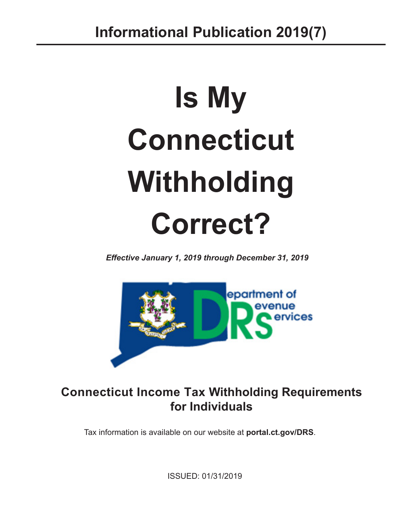# **Is My Connecticut Withholding Correct?**

*Effective January 1, 2019 through December 31, 2019*



# **Connecticut Income Tax Withholding Requirements for Individuals**

Tax information is available on our website at **[portal.ct.gov/DRS](https://portal.ct.gov/DRS)**.

ISSUED: 01/31/2019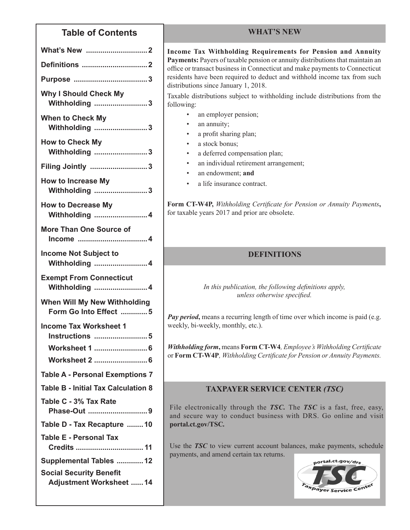### **Table of Contents**

| <b>Why I Should Check My</b><br>Withholding 3                    |
|------------------------------------------------------------------|
| <b>When to Check My</b><br>Withholding 3                         |
| <b>How to Check My</b><br>Withholding 3                          |
| Filing Jointly 3                                                 |
| <b>How to Increase My</b><br>Withholding 3                       |
| <b>How to Decrease My</b><br><b>Withholding  4</b>               |
| <b>More Than One Source of</b>                                   |
| <b>Income Not Subject to</b><br><b>Withholding  4</b>            |
| <b>Exempt From Connecticut</b><br><b>Withholding  4</b>          |
| <b>When Will My New Withholding</b><br>Form Go Into Effect 5     |
| <b>Income Tax Worksheet 1</b><br><b>Instructions 5</b>           |
| Worksheet 1  6                                                   |
| Worksheet 2  6                                                   |
| <b>Table A - Personal Exemptions 7</b>                           |
| <b>Table B - Initial Tax Calculation 8</b>                       |
| Table C - 3% Tax Rate<br>Phase-Out 9                             |
| Table D - Tax Recapture  10                                      |
| <b>Table E - Personal Tax</b><br>Credits  11                     |
| Supplemental Tables  12                                          |
| <b>Social Security Benefit</b><br><b>Adjustment Worksheet 14</b> |

#### **WHAT'S NEW**

**Income Tax Withholding Requirements for Pension and Annuity Payments:** Payers of taxable pension or annuity distributions that maintain an office or transact business in Connecticut and make payments to Connecticut residents have been required to deduct and withhold income tax from such distributions since January 1, 2018.

Taxable distributions subject to withholding include distributions from the following:

- an employer pension;
- an annuity;
- a profit sharing plan;
- a stock bonus;
- a deferred compensation plan;
- an individual retirement arrangement;
- an endowment; and
- a life insurance contract.

**Form CT‑W4P,** *Withholding Certificate for Pension or Annuity Payments***,** for taxable years 2017 and prior are obsolete.

#### **DEFINITIONS**

*In this publication, the following definitions apply, unless otherwise specified.*

*Pay period*, means a recurring length of time over which income is paid (e.g. weekly, bi-weekly, monthly, etc.).

*Withholding form***,** means **Form CT‑W4***, Employee's Withholding Certificate*  or **Form CT‑W4P***, Withholding Certificate for Pension or Annuity Payments.*

#### **TAXPAYER SERVICE CENTER** *(TSC)*

File electronically through the *TSC.* The *TSC* is a fast, free, easy, and secure way to conduct business with DRS. Go online and visit **[portal.ct.gov/TSC](https://portal.ct.gov/TSC)***.*

Use the *TSC* to view current account balances, make payments, schedule payments, and amend certain tax returns.

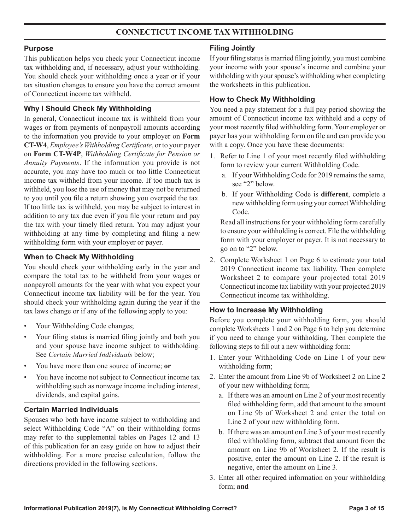#### **CONNECTICUT INCOME TAX WITHHOLDING**

#### **Purpose**

This publication helps you check your Connecticut income tax withholding and, if necessary, adjust your withholding. You should check your withholding once a year or if your tax situation changes to ensure you have the correct amount of Connecticut income tax withheld.

#### **Why I Should Check My Withholding**

In general, Connecticut income tax is withheld from your wages or from payments of nonpayroll amounts according to the information you provide to your employer on **Form CT‑W4**, *Employee's Withholding Certificate*, or to your payer on **Form CT‑W4P**, *Withholding Certificate for Pension or Annuity Payments*. If the information you provide is not accurate, you may have too much or too little Connecticut income tax withheld from your income. If too much tax is withheld, you lose the use of money that may not be returned to you until you file a return showing you overpaid the tax. If too little tax is withheld, you may be subject to interest in addition to any tax due even if you file your return and pay the tax with your timely filed return. You may adjust your withholding at any time by completing and filing a new withholding form with your employer or payer.

#### **When to Check My Withholding**

You should check your withholding early in the year and compare the total tax to be withheld from your wages or nonpayroll amounts for the year with what you expect your Connecticut income tax liability will be for the year. You should check your withholding again during the year if the tax laws change or if any of the following apply to you:

- Your Withholding Code changes;
- Your filing status is married filing jointly and both you and your spouse have income subject to withholding. See *Certain Married Individuals* below;
- You have more than one source of income; **or**
- You have income not subject to Connecticut income tax withholding such as nonwage income including interest, dividends, and capital gains.

#### **Certain Married Individuals**

Spouses who both have income subject to withholding and select Withholding Code "A" on their withholding forms may refer to the supplemental tables on Pages 12 and 13 of this publication for an easy guide on how to adjust their withholding. For a more precise calculation, follow the directions provided in the following sections.

#### **Filing Jointly**

If your filing status is married filing jointly, you must combine your income with your spouse's income and combine your withholding with your spouse's withholding when completing the worksheets in this publication.

#### **How to Check My Withholding**

You need a pay statement for a full pay period showing the amount of Connecticut income tax withheld and a copy of your most recently filed withholding form. Your employer or payer has your withholding form on file and can provide you with a copy. Once you have these documents:

- 1. Refer to Line 1 of your most recently filed withholding form to review your current Withholding Code.
	- a. If your Withholding Code for 2019 remains the same, see "2" below.
	- b. If your Withholding Code is **different**, complete a new withholding form using your correct Withholding Code.

Read all instructions for your withholding form carefully to ensure your withholding is correct. File the withholding form with your employer or payer. It is not necessary to go on to "2" below.

2. Complete Worksheet 1 on Page 6 to estimate your total 2019 Connecticut income tax liability. Then complete Worksheet 2 to compare your projected total 2019 Connecticut income tax liability with your projected 2019 Connecticut income tax withholding.

#### **How to Increase My Withholding**

Before you complete your withholding form, you should complete Worksheets 1 and 2 on Page 6 to help you determine if you need to change your withholding. Then complete the following steps to fill out a new withholding form:

- 1. Enter your Withholding Code on Line 1 of your new withholding form;
- 2. Enter the amount from Line 9b of Worksheet 2 on Line 2 of your new withholding form;
	- a. If there was an amount on Line 2 of your most recently filed withholding form, add that amount to the amount on Line 9b of Worksheet 2 and enter the total on Line 2 of your new withholding form.
	- b. If there was an amount on Line 3 of your most recently filed withholding form, subtract that amount from the amount on Line 9b of Worksheet 2. If the result is positive, enter the amount on Line 2. If the result is negative, enter the amount on Line 3.
- 3. Enter all other required information on your withholding form; **and**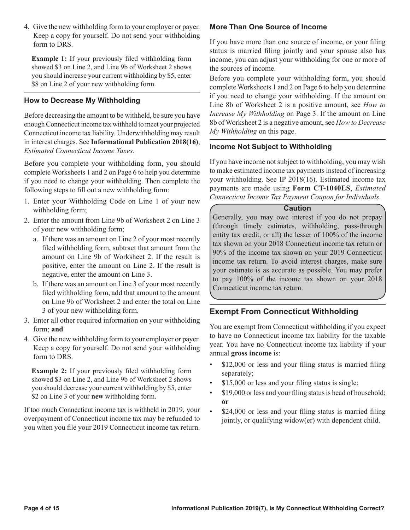4. Give the new withholding form to your employer or payer. Keep a copy for yourself. Do not send your withholding form to DRS.

**Example 1:** If your previously filed withholding form showed \$3 on Line 2, and Line 9b of Worksheet 2 shows you should increase your current withholding by \$5, enter \$8 on Line 2 of your new withholding form.

#### **How to Decrease My Withholding**

Before decreasing the amount to be withheld, be sure you have enough Connecticut income tax withheld to meet your projected Connecticut income tax liability. Underwithholding may result in interest charges. See **Informational Publication 2018(16)**, *Estimated Connecticut Income Taxes*.

Before you complete your withholding form, you should complete Worksheets 1 and 2 on Page 6 to help you determine if you need to change your withholding. Then complete the following steps to fill out a new withholding form:

- 1. Enter your Withholding Code on Line 1 of your new withholding form;
- 2. Enter the amount from Line 9b of Worksheet 2 on Line 3 of your new withholding form;
	- a. If there was an amount on Line 2 of your most recently filed withholding form, subtract that amount from the amount on Line 9b of Worksheet 2. If the result is positive, enter the amount on Line 2. If the result is negative, enter the amount on Line 3.
	- b. If there was an amount on Line 3 of your most recently filed withholding form, add that amount to the amount on Line 9b of Worksheet 2 and enter the total on Line 3 of your new withholding form.
- 3. Enter all other required information on your withholding form; **and**
- 4. Give the new withholding form to your employer or payer. Keep a copy for yourself. Do not send your withholding form to DRS.

**Example 2:** If your previously filed withholding form showed \$3 on Line 2, and Line 9b of Worksheet 2 shows you should decrease your current withholding by \$5, enter \$2 on Line 3 of your **new** withholding form.

If too much Connecticut income tax is withheld in 2019, your overpayment of Connecticut income tax may be refunded to you when you file your 2019 Connecticut income tax return.

#### **More Than One Source of Income**

If you have more than one source of income, or your filing status is married filing jointly and your spouse also has income, you can adjust your withholding for one or more of the sources of income.

Before you complete your withholding form, you should complete Worksheets 1 and 2 on Page 6 to help you determine if you need to change your withholding. If the amount on Line 8b of Worksheet 2 is a positive amount, see *How to Increase My Withholding* on Page 3. If the amount on Line 8b of Worksheet 2 is a negative amount, see *How to Decrease My Withholding* on this page.

#### **Income Not Subject to Withholding**

If you have income not subject to withholding, you may wish to make estimated income tax payments instead of increasing your withholding. See IP 2018(16). Estimated income tax payments are made using **Form CT-1040ES**, *Estimated Connecticut Income Tax Payment Coupon for Individuals*.

#### **Caution**

Generally, you may owe interest if you do not prepay (through timely estimates, withholding, pass-through entity tax credit, or all) the lesser of 100% of the income tax shown on your 2018 Connecticut income tax return or 90% of the income tax shown on your 2019 Connecticut income tax return. To avoid interest charges, make sure your estimate is as accurate as possible. You may prefer to pay 100% of the income tax shown on your 2018 Connecticut income tax return.

#### **Exempt From Connecticut Withholding**

You are exempt from Connecticut withholding if you expect to have no Connecticut income tax liability for the taxable year. You have no Connecticut income tax liability if your annual **gross income** is:

- \$12,000 or less and your filing status is married filing separately;
- \$15,000 or less and your filing status is single;
- \$19,000 or less and your filing status is head of household; **or**
- \$24,000 or less and your filing status is married filing jointly, or qualifying widow(er) with dependent child.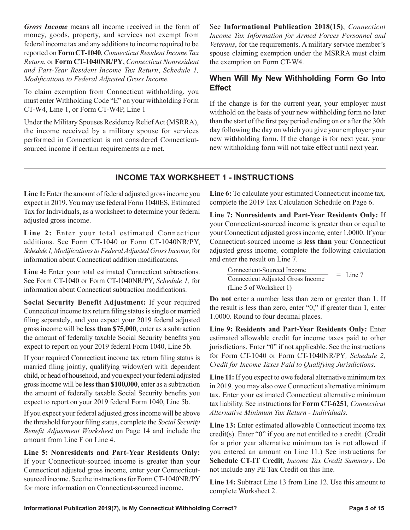*Gross Income* means all income received in the form of money, goods, property, and services not exempt from federal income tax and any additions to income required to be reported on **Form CT-1040**, *Connecticut Resident Income Tax Return*, or **Form CT-1040NR/PY**, *Connecticut Nonresident and Part-Year Resident Income Tax Return*, *Schedule 1, Modifications to Federal Adjusted Gross Income.*

To claim exemption from Connecticut withholding, you must enter Withholding Code "E" on your withholding Form CT-W4, Line 1, or Form CT-W4P, Line 1

Under the Military Spouses Residency Relief Act (MSRRA), the income received by a military spouse for services performed in Connecticut is not considered Connecticutsourced income if certain requirements are met.

See **Informational Publication 2018(15)**, *Connecticut Income Tax Information for Armed Forces Personnel and Veterans*, for the requirements. A military service member's spouse claiming exemption under the MSRRA must claim the exemption on Form CT-W4.

#### **When Will My New Withholding Form Go Into Effect**

If the change is for the current year, your employer must withhold on the basis of your new withholding form no later than the start of the first pay period ending on or after the 30th day following the day on which you give your employer your new withholding form. If the change is for next year, your new withholding form will not take effect until next year.

#### **INCOME TAX WORKSHEET 1 - INSTRUCTIONS**

Line 1: Enter the amount of federal adjusted gross income you expect in 2019. You may use federal Form 1040ES, Estimated Tax for Individuals, as a worksheet to determine your federal adjusted gross income.

**Line 2:** Enter your total estimated Connecticut additions. See Form CT-1040 or Form CT-1040NR/PY, *Schedule 1,Modifications to Federal Adjusted Gross Income,* for information about Connecticut addition modifications.

**Line 4:** Enter your total estimated Connecticut subtractions. See Form CT-1040 or Form CT-1040NR/PY, *Schedule 1,* for information about Connecticut subtraction modifications.

**Social Security Benefit Adjustment:** If your required Connecticut income tax return filing status is single or married filing separately, and you expect your 2019 federal adjusted gross income will be **less than \$75,000**, enter as a subtraction the amount of federally taxable Social Security benefits you expect to report on your 2019 federal Form 1040, Line 5b.

If your required Connecticut income tax return filing status is married filing jointly, qualifying widow(er) with dependent child, or head of household, and you expect your federal adjusted gross income will be **less than \$100,000**, enter as a subtraction the amount of federally taxable Social Security benefits you expect to report on your 2019 federal Form 1040, Line 5b.

If you expect your federal adjusted gross income will be above the threshold for your filing status, complete the *Social Security Benefit Adjustment Worksheet* on Page 14 and include the amount from Line F on Line 4.

**Line 5: Nonresidents and Part-Year Residents Only:**  If your Connecticut-sourced income is greater than your Connecticut adjusted gross income*,* enter your Connecticutsourced income. See the instructions for Form CT-1040NR/PY for more information on Connecticut-sourced income.

**Line 6:** To calculate your estimated Connecticut income tax*,*  complete the 2019 Tax Calculation Schedule on Page 6.

**Line 7: Nonresidents and Part-Year Residents Only:** If your Connecticut-sourced income is greater than or equal to your Connecticut adjusted gross income*,* enter 1.0000. If your Connecticut-sourced income is **less than** your Connecticut adjusted gross income*,* complete the following calculation and enter the result on Line 7.

Connecticut-Sourced Income Connecticut Adjusted Gross Income (Line 5 of Worksheet 1)  $=$  Line 7

**Do not** enter a number less than zero or greater than 1. If the result is less than zero, enter "0;" if greater than 1*,* enter 1.0000. Round to four decimal places.

**Line 9: Residents and Part-Year Residents Only:** Enter estimated allowable credit for income taxes paid to other jurisdictions. Enter "0" if not applicable. See the instructions for Form CT-1040 or Form CT-1040NR/PY*, Schedule 2, Credit for Income Taxes Paid to Qualifying Jurisdictions*.

**Line 11:** If you expect to owe federal alternative minimum tax in 2019*,* you may also owe Connecticut alternative minimum tax. Enter your estimated Connecticut alternative minimum tax liability. See instructions for **Form CT-6251***, Connecticut Alternative Minimum Tax Return - Individuals.*

**Line 13:** Enter estimated allowable Connecticut income tax credit(s). Enter "0" if you are not entitled to a credit. (Credit for a prior year alternative minimum tax is not allowed if you entered an amount on Line 11.) See instructions for **Schedule CT-IT Credit**, *Income Tax Credit Summary*. Do not include any PE Tax Credit on this line.

**Line 14:** Subtract Line 13 from Line 12. Use this amount to complete Worksheet 2.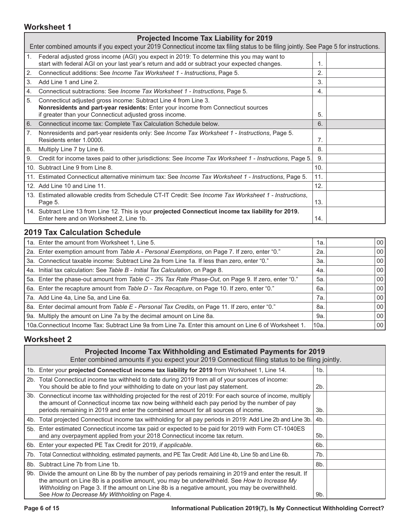#### **Worksheet 1**

|                | <b>Projected Income Tax Liability for 2019</b>                                                                                                                                                                 |     |  |
|----------------|----------------------------------------------------------------------------------------------------------------------------------------------------------------------------------------------------------------|-----|--|
|                | Enter combined amounts if you expect your 2019 Connecticut income tax filing status to be filing jointly. See Page 5 for instructions.                                                                         |     |  |
| 1.             | Federal adjusted gross income (AGI) you expect in 2019: To determine this you may want to<br>start with federal AGI on your last year's return and add or subtract your expected changes.                      | 1.  |  |
| 2.             | Connecticut additions: See Income Tax Worksheet 1 - Instructions, Page 5.                                                                                                                                      | 2.  |  |
| 3.             | Add Line 1 and Line 2.                                                                                                                                                                                         | 3.  |  |
| 4.             | Connecticut subtractions: See Income Tax Worksheet 1 - Instructions, Page 5.                                                                                                                                   | 4.  |  |
| 5.             | Connecticut adjusted gross income: Subtract Line 4 from Line 3.<br>Nonresidents and part-year residents: Enter your income from Connecticut sources<br>if greater than your Connecticut adjusted gross income. | 5.  |  |
| 6.             | Connecticut income tax: Complete Tax Calculation Schedule below.                                                                                                                                               | 6.  |  |
| 7 <sub>1</sub> | Nonresidents and part-year residents only: See Income Tax Worksheet 1 - Instructions, Page 5.<br>Residents enter 1,0000.                                                                                       | 7.  |  |
| 8.             | Multiply Line 7 by Line 6.                                                                                                                                                                                     | 8.  |  |
| 9.             | Credit for income taxes paid to other jurisdictions: See <i>Income Tax Worksheet 1 - Instructions</i> , Page 5.                                                                                                | 9.  |  |
|                | 10. Subtract Line 9 from Line 8.                                                                                                                                                                               | 10. |  |
|                | 11. Estimated Connecticut alternative minimum tax: See Income Tax Worksheet 1 - Instructions, Page 5.                                                                                                          | 11. |  |
|                | 12. Add Line 10 and Line 11.                                                                                                                                                                                   | 12. |  |
|                | 13. Estimated allowable credits from Schedule CT-IT Credit: See Income Tax Worksheet 1 - Instructions.<br>Page 5.                                                                                              | 13. |  |
|                | 14. Subtract Line 13 from Line 12. This is your projected Connecticut income tax liability for 2019.<br>Enter here and on Worksheet 2, Line 1b.                                                                | 14. |  |

### **2019 Tax Calculation Schedule**

| 1a. Enter the amount from Worksheet 1, Line 5.                                                          | 1а.  | 00 <sup>1</sup> |
|---------------------------------------------------------------------------------------------------------|------|-----------------|
| 2a. Enter exemption amount from Table A - Personal Exemptions, on Page 7. If zero, enter "0."           | 2a.  | 00              |
| 3a. Connecticut taxable income: Subtract Line 2a from Line 1a. If less than zero, enter "0."            | За.  | 00              |
| 4a. Initial tax calculation: See Table B - Initial Tax Calculation, on Page 8.                          | 4a.  | 00 <sub>1</sub> |
| 5a. Enter the phase-out amount from Table C - 3% Tax Rate Phase-Out, on Page 9. If zero, enter "0."     | 5а.  | 00              |
| 6a. Enter the recapture amount from Table D - Tax Recapture, on Page 10. If zero, enter "0."            | 6а.  | 00              |
| 7a. Add Line 4a, Line 5a, and Line 6a.                                                                  | 7а.  | 00              |
| 8a. Enter decimal amount from Table E - Personal Tax Credits, on Page 11. If zero, enter "0."           | 8а.  | 00              |
| 9a. Multiply the amount on Line 7a by the decimal amount on Line 8a.                                    | 9а.  | 00              |
| 10a. Connecticut Income Tax: Subtract Line 9a from Line 7a. Enter this amount on Line 6 of Worksheet 1. | 10a. | 00              |

#### **Worksheet 2**

#### **Projected Income Tax Withholding and Estimated Payments for 2019**

Enter combined amounts if you expect your 2019 Connecticut filing status to be filing jointly.

| 1b. Enter your projected Connecticut income tax liability for 2019 from Worksheet 1, Line 14.                                                                                                                                                                                                                                                               | 1b. |  |
|-------------------------------------------------------------------------------------------------------------------------------------------------------------------------------------------------------------------------------------------------------------------------------------------------------------------------------------------------------------|-----|--|
| 2b. Total Connecticut income tax withheld to date during 2019 from all of your sources of income:<br>You should be able to find your withholding to date on your last pay statement.                                                                                                                                                                        | 2b. |  |
| 3b. Connecticut income tax withholding projected for the rest of 2019: For each source of income, multiply<br>the amount of Connecticut income tax now being withheld each pay period by the number of pay<br>periods remaining in 2019 and enter the combined amount for all sources of income.                                                            | 3b. |  |
| 4b. Total projected Connecticut income tax withholding for all pay periods in 2019: Add Line 2b and Line 3b.                                                                                                                                                                                                                                                | 4b. |  |
| 5b. Enter estimated Connecticut income tax paid or expected to be paid for 2019 with Form CT-1040ES<br>and any overpayment applied from your 2018 Connecticut income tax return.                                                                                                                                                                            | 5b. |  |
| 6b. Enter your expected PE Tax Credit for 2019, if applicable.                                                                                                                                                                                                                                                                                              | 6b. |  |
| 7b. Total Connecticut withholding, estimated payments, and PE Tax Credit: Add Line 4b, Line 5b and Line 6b.                                                                                                                                                                                                                                                 | 7b. |  |
| 8b. Subtract Line 7b from Line 1b.                                                                                                                                                                                                                                                                                                                          | 8b. |  |
| 9b. Divide the amount on Line 8b by the number of pay periods remaining in 2019 and enter the result. If<br>the amount on Line 8b is a positive amount, you may be underwithheld. See How to Increase My<br>Withholding on Page 3. If the amount on Line 8b is a negative amount, you may be overwithheld.<br>See How to Decrease My Withholding on Page 4. | 9b. |  |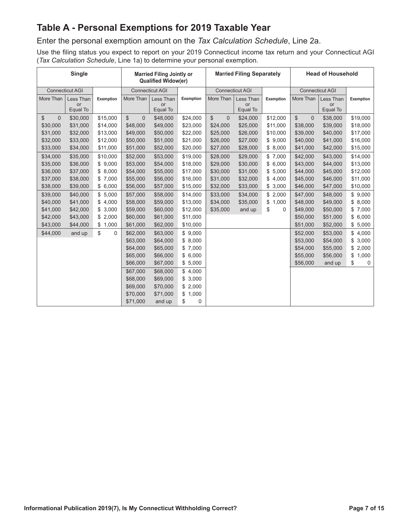# **Table A - Personal Exemptions for 2019 Taxable Year**

Enter the personal exemption amount on the *Tax Calculation Schedule*, Line 2a.

Use the filing status you expect to report on your 2019 Connecticut income tax return and your Connecticut AGI (*Tax Calculation Schedule*, Line 1a) to determine your personal exemption.

|                                 | <b>Single</b>          |                   |                    | <b>Married Filing Jointly or</b><br>Qualified Widow(er) |             | <b>Married Filing Separately</b> | <b>Head of Household</b> |                   |                    |                 |             |
|---------------------------------|------------------------|-------------------|--------------------|---------------------------------------------------------|-------------|----------------------------------|--------------------------|-------------------|--------------------|-----------------|-------------|
|                                 | <b>Connecticut AGI</b> |                   |                    | Connecticut AGI                                         |             |                                  | <b>Connecticut AGI</b>   |                   |                    | Connecticut AGI |             |
| More Than                       | Less Than              | Exemption         | More Than          | Less Than                                               | Exemption   | More Than                        | Less Than                | Exemption         | More Than          | Less Than       | Exemption   |
|                                 | or<br>Equal To         |                   |                    | or<br>Equal To                                          |             |                                  | or<br>Equal To           |                   |                    | or<br>Equal To  |             |
| $\overline{0}$<br>$\mathcal{S}$ | \$30,000               | \$15,000          | \$<br>$\mathbf{0}$ | \$48,000                                                | \$24,000    | $\mathbb{S}$<br>$\Omega$         | \$24,000                 | \$12,000          | \$<br>$\mathbf{0}$ | \$38,000        | \$19,000    |
| \$30,000                        | \$31,000               | \$14,000          | \$48,000           | \$49,000                                                | \$23,000    | \$24,000                         | \$25,000                 | \$11,000          | \$38,000           | \$39,000        | \$18,000    |
| \$31,000                        | \$32,000               | \$13,000          | \$49,000           | \$50,000                                                | \$22,000    | \$25,000                         | \$26,000                 | \$10,000          | \$39,000           | \$40,000        | \$17,000    |
| \$32,000                        | \$33,000               | \$12,000          | \$50,000           | \$51,000                                                | \$21,000    | \$26,000                         | \$27,000                 | \$9,000           | \$40,000           | \$41,000        | \$16,000    |
| \$33,000                        | \$34,000               | \$11,000          | \$51,000           | \$52,000                                                | \$20,000    | \$27,000                         | \$28,000                 | \$8,000           | \$41,000           | \$42,000        | \$15,000    |
| \$34,000                        | \$35,000               | \$10,000          | \$52,000           | \$53,000                                                | \$19,000    | \$28,000                         | \$29,000                 | \$7,000           | \$42,000           | \$43,000        | \$14,000    |
| \$35,000                        | \$36,000               | \$9,000           | \$53,000           | \$54,000                                                | \$18,000    | \$29,000                         | \$30,000                 | \$<br>6,000       | \$43,000           | \$44,000        | \$13,000    |
| \$36,000                        | \$37,000               | \$8.000           | \$54,000           | \$55,000                                                | \$17,000    | \$30,000                         | \$31,000                 | 5,000<br>\$       | \$44,000           | \$45,000        | \$12,000    |
| \$37,000                        | \$38,000               | \$7,000           | \$55,000           | \$56,000                                                | \$16,000    | \$31,000                         | \$32,000                 | \$<br>4,000       | \$45,000           | \$46,000        | \$11,000    |
| \$38,000                        | \$39,000               | \$6,000           | \$56,000           | \$57,000                                                | \$15,000    | \$32,000                         | \$33,000                 | \$<br>3,000       | \$46,000           | \$47,000        | \$10,000    |
| \$39,000                        | \$40,000               | \$5,000           | \$57,000           | \$58,000                                                | \$14,000    | \$33,000                         | \$34,000                 | \$<br>2,000       | \$47,000           | \$48,000        | \$9,000     |
| \$40,000                        | \$41,000               | \$4,000           | \$58,000           | \$59,000                                                | \$13,000    | \$34,000                         | \$35,000                 | \$<br>1.000       | \$48,000           | \$49,000        | \$8,000     |
| \$41,000                        | \$42,000               | \$3,000           | \$59,000           | \$60,000                                                | \$12,000    | \$35,000                         | and up                   | \$<br>$\mathbf 0$ | \$49,000           | \$50,000        | \$7,000     |
| \$42,000                        | \$43,000               | \$2,000           | \$60,000           | \$61,000                                                | \$11,000    |                                  |                          |                   | \$50,000           | \$51,000        | \$6,000     |
| \$43,000                        | \$44,000               | \$<br>1,000       | \$61,000           | \$62,000                                                | \$10,000    |                                  |                          |                   | \$51,000           | \$52,000        | \$5,000     |
| \$44,000                        | and up                 | \$<br>$\mathbf 0$ | \$62,000           | \$63,000                                                | \$9,000     |                                  |                          |                   | \$52,000           | \$53,000        | \$4,000     |
|                                 |                        |                   | \$63,000           | \$64,000                                                | \$8,000     |                                  |                          |                   | \$53,000           | \$54,000        | \$3,000     |
|                                 |                        |                   | \$64,000           | \$65,000                                                | \$7,000     |                                  |                          |                   | \$54,000           | \$55,000        | \$2,000     |
|                                 |                        |                   | \$65,000           | \$66,000                                                | \$6,000     |                                  |                          |                   | \$55,000           | \$56,000        | \$<br>1,000 |
|                                 |                        |                   | \$66,000           | \$67,000                                                | \$5,000     |                                  |                          |                   | \$56,000           | and up          | \$<br>0     |
|                                 |                        |                   | \$67,000           | \$68,000                                                | \$4,000     |                                  |                          |                   |                    |                 |             |
|                                 |                        |                   | \$68,000           | \$69,000                                                | \$3,000     |                                  |                          |                   |                    |                 |             |
|                                 |                        |                   | \$69,000           | \$70,000                                                | \$2,000     |                                  |                          |                   |                    |                 |             |
|                                 |                        |                   | \$70,000           | \$71,000                                                | 1,000<br>\$ |                                  |                          |                   |                    |                 |             |
|                                 |                        |                   | \$71,000           | and up                                                  | \$<br>0     |                                  |                          |                   |                    |                 |             |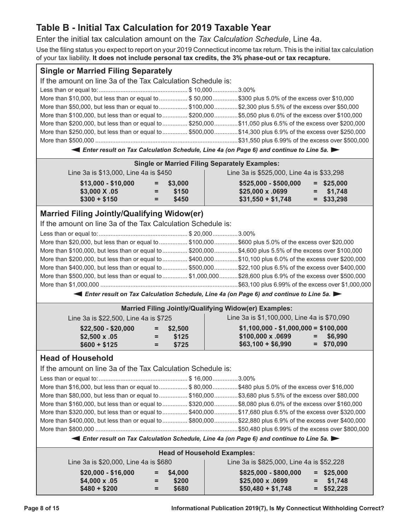# **Table B - Initial Tax Calculation for 2019 Taxable Year**

Enter the initial tax calculation amount on the *Tax Calculation Schedule*, Line 4a.

Use the filing status you expect to report on your 2019 Connecticut income tax return. This is the initial tax calculation of your tax liability. **It does not include personal tax credits, the 3% phase-out or tax recapture.**

| <b>Single or Married Filing Separately</b>                   |          |                                    |                                                                                                             |  |
|--------------------------------------------------------------|----------|------------------------------------|-------------------------------------------------------------------------------------------------------------|--|
| If the amount on line 3a of the Tax Calculation Schedule is: |          |                                    |                                                                                                             |  |
|                                                              |          |                                    |                                                                                                             |  |
|                                                              |          |                                    | More than \$10,000, but less than or equal to  \$50,000  \$300 plus 5.0% of the excess over \$10,000        |  |
|                                                              |          |                                    | More than \$50,000, but less than or equal to  \$100,000  \$2,300 plus 5.5% of the excess over \$50,000     |  |
|                                                              |          |                                    | More than \$100,000, but less than or equal to  \$200,000  \$5,050 plus 6.0% of the excess over \$100,000   |  |
|                                                              |          |                                    | More than \$200,000, but less than or equal to  \$250,000 \$11,050 plus 6.5% of the excess over \$200,000   |  |
|                                                              |          |                                    | More than \$250,000, but less than or equal to  \$500,000 \$14,300 plus 6.9% of the excess over \$250,000   |  |
|                                                              |          |                                    |                                                                                                             |  |
|                                                              |          |                                    | Enter result on Tax Calculation Schedule, Line 4a (on Page 6) and continue to Line 5a.                      |  |
|                                                              |          |                                    | <b>Single or Married Filing Separately Examples:</b>                                                        |  |
| Line 3a is \$13,000, Line 4a is \$450                        |          |                                    | Line 3a is \$525,000, Line 4a is \$33,298                                                                   |  |
| $$13,000 - $10,000$                                          | $=$      | \$3,000                            | \$525,000 - \$500,000<br>$=$ \$25,000                                                                       |  |
| \$3,000 X .05                                                | $=$      | \$150                              | \$25,000 x .0699<br>\$1,748<br>$=$                                                                          |  |
| $$300 + $150$                                                | $=$      | \$450                              | $=$ \$33,298<br>$$31,550 + $1,748$                                                                          |  |
| <b>Married Filing Jointly/Qualifying Widow(er)</b>           |          |                                    |                                                                                                             |  |
| If the amount on line 3a of the Tax Calculation Schedule is: |          |                                    |                                                                                                             |  |
|                                                              |          |                                    |                                                                                                             |  |
|                                                              |          |                                    | More than \$20,000, but less than or equal to  \$100,000  \$600 plus 5.0% of the excess over \$20,000       |  |
|                                                              |          |                                    | More than \$100,000, but less than or equal to  \$200,000  \$4,600 plus 5.5% of the excess over \$100,000   |  |
|                                                              |          |                                    | More than \$200,000, but less than or equal to  \$400,000 \$10,100 plus 6.0% of the excess over \$200,000   |  |
|                                                              |          |                                    | More than \$400,000, but less than or equal to  \$500,000 \$22,100 plus 6.5% of the excess over \$400,000   |  |
|                                                              |          |                                    | More than \$500,000, but less than or equal to  \$1,000,000 \$28,600 plus 6.9% of the excess over \$500,000 |  |
|                                                              |          |                                    |                                                                                                             |  |
|                                                              |          |                                    | Enter result on Tax Calculation Schedule, Line 4a (on Page 6) and continue to Line 5a.                      |  |
|                                                              |          |                                    |                                                                                                             |  |
| Line 3a is \$22,500, Line 4a is \$725                        |          |                                    | <b>Married Filing Jointly/Qualifying Widow(er) Examples:</b><br>Line 3a is \$1,100,000, Line 4a is \$70,090 |  |
| $$22,500 - $20,000$                                          | $\equiv$ | \$2,500                            | $$1,100,000 - $1,000,000 = $100,000$                                                                        |  |
| $$2,500 \times .05$                                          | $=$      | \$125                              | \$100,000 x .0699<br>\$6,990<br>$=$                                                                         |  |
| $$600 + $125$                                                | $=$      | \$725                              | $$63,100 + $6,990$<br>$=$ \$70,090                                                                          |  |
|                                                              |          |                                    |                                                                                                             |  |
| <b>Head of Household</b>                                     |          |                                    |                                                                                                             |  |
| If the amount on line 3a of the Tax Calculation Schedule is: |          |                                    |                                                                                                             |  |
|                                                              |          |                                    |                                                                                                             |  |
|                                                              |          |                                    | More than \$16,000, but less than or equal to  \$80,000  \$480 plus 5.0% of the excess over \$16,000        |  |
|                                                              |          |                                    | More than \$80,000, but less than or equal to  \$160,000 \$3,680 plus 5.5% of the excess over \$80,000      |  |
|                                                              |          |                                    | More than \$160,000, but less than or equal to  \$320,000 \$8,080 plus 6.0% of the excess over \$160,000    |  |
|                                                              |          |                                    | More than \$320,000, but less than or equal to  \$400,000 \$17,680 plus 6.5% of the excess over \$320,000   |  |
|                                                              |          |                                    | More than \$400,000, but less than or equal to  \$800,000 \$22,880 plus 6.9% of the excess over \$400,000   |  |
|                                                              |          |                                    |                                                                                                             |  |
|                                                              |          |                                    | Enter result on Tax Calculation Schedule, Line 4a (on Page 6) and continue to Line 5a.                      |  |
|                                                              |          | <b>Head of Household Examples:</b> |                                                                                                             |  |
| Line 3a is \$20,000, Line 4a is \$680                        |          |                                    | Line 3a is \$825,000, Line 4a is \$52,228                                                                   |  |
| $$20,000 - $16,000$                                          | $=$      | \$4,000                            | \$825,000 - \$800,000<br>$=$ \$25,000                                                                       |  |
| \$4,000 x .05                                                |          | \$200                              | \$25,000 x .0699<br>\$1,748                                                                                 |  |
| $$480 + $200$                                                | $=$      | \$680                              | $$50,480 + $1,748$<br>$=$ \$52,228                                                                          |  |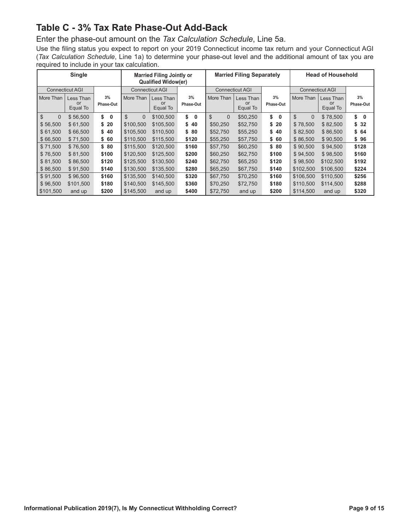# **Table C - 3% Tax Rate Phase-Out Add-Back**

Enter the phase-out amount on the *Tax Calculation Schedule*, Line 5a.

Use the filing status you expect to report on your 2019 Connecticut income tax return and your Connecticut AGI (*Tax Calculation Schedule*, Line 1a) to determine your phase-out level and the additional amount of tax you are required to include in your tax calculation.

|                                | Single                 |           |                        | <b>Married Filing Jointly or</b><br><b>Qualified Widow(er)</b> |                   |                          | <b>Married Filing Separately</b> |                    | <b>Head of Household</b> |                        |                   |  |  |  |  |
|--------------------------------|------------------------|-----------|------------------------|----------------------------------------------------------------|-------------------|--------------------------|----------------------------------|--------------------|--------------------------|------------------------|-------------------|--|--|--|--|
|                                | <b>Connecticut AGI</b> |           | <b>Connecticut AGI</b> |                                                                |                   |                          | <b>Connecticut AGI</b>           |                    |                          | <b>Connecticut AGI</b> |                   |  |  |  |  |
| More Than                      | Less Than              | 3%        | More Than              | Less Than                                                      | 3%                | More Than                | Less Than                        | 3%                 | More Than                | Less Than              | 3%                |  |  |  |  |
|                                | or<br>Equal To         | Phase-Out |                        | or<br>Equal To                                                 | Phase-Out         |                          | or<br>Equal To                   | Phase-Out          |                          | or<br>Equal To         | Phase-Out         |  |  |  |  |
| $\mathbb{S}$<br>$\overline{0}$ | \$56,500               | \$<br>0   | \$<br>$\Omega$         | \$100,500                                                      | \$<br>$\mathbf 0$ | $\mathbb{S}$<br>$\Omega$ | \$50,250                         | \$<br>$\mathbf{0}$ | \$<br>$\Omega$           | \$78,500               | \$<br>$\mathbf 0$ |  |  |  |  |
| \$56,500                       | \$61,500               | \$20      | \$100.500              | \$105,500                                                      | \$40              | \$50,250                 | \$52,750                         | \$20               | \$78.500                 | \$82,500               | \$32              |  |  |  |  |
| \$61,500                       | \$66,500               | \$40      | \$105,500              | \$110,500                                                      | \$ 80             | \$52,750                 | \$55,250                         | \$40               | \$82,500                 | \$86,500               | \$64              |  |  |  |  |
| \$66,500                       | \$71,500               | \$60      | \$110,500              | \$115,500                                                      | \$120             | \$55,250                 | \$57,750                         | \$60               | \$86,500                 | \$90,500               | \$96              |  |  |  |  |
| \$71.500                       | \$76,500               | \$80      | \$115.500              | \$120.500                                                      | \$160             | \$57.750                 | \$60,250                         | \$80               | \$90.500                 | \$94.500               | \$128             |  |  |  |  |
| \$76,500                       | \$81,500               | \$100     | \$120,500              | \$125,500                                                      | \$200             | \$60,250                 | \$62,750                         | \$100              | \$94,500                 | \$98,500               | \$160             |  |  |  |  |
| \$81,500                       | \$86,500               | \$120     | \$125.500              | \$130,500                                                      | \$240             | \$62,750                 | \$65,250                         | \$120              | \$98,500                 | \$102,500              | \$192             |  |  |  |  |
| \$86,500                       | \$91,500               | \$140     | \$130,500              | \$135,500                                                      | \$280             | \$65,250                 | \$67,750                         | \$140              | \$102,500                | \$106,500              | \$224             |  |  |  |  |
| \$91,500                       | \$96,500               | \$160     | \$135,500              | \$140,500                                                      | \$320             | \$67,750                 | \$70,250                         | \$160              | \$106,500                | \$110,500              | \$256             |  |  |  |  |
| \$96,500                       | \$101,500              | \$180     | \$140,500              | \$145,500                                                      | \$360             | \$70,250                 | \$72,750                         | \$180              | \$110.500                | \$114,500              | \$288             |  |  |  |  |
| \$101,500                      | and up                 | \$200     | \$145,500              | and up                                                         | \$400             | \$72,750                 | and up                           | \$200              | \$114,500                | and up                 | \$320             |  |  |  |  |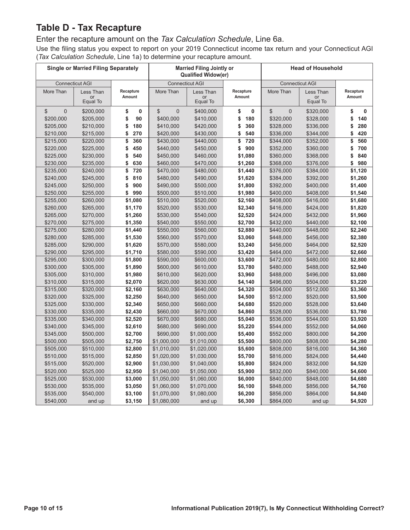# **Table D - Tax Recapture**

#### Enter the recapture amount on the *Tax Calculation Schedule*, Line 6a.

Use the filing status you expect to report on your 2019 Connecticut income tax return and your Connecticut AGI (*Tax Calculation Schedule*, Line 1a) to determine your recapture amount.

|                        | <b>Single or Married Filing Separately</b> |                 |                               | <b>Married Filing Jointly or</b><br><b>Qualified Widow(er)</b> |                                 | <b>Head of Household</b>      |                        |                          |  |  |  |  |
|------------------------|--------------------------------------------|-----------------|-------------------------------|----------------------------------------------------------------|---------------------------------|-------------------------------|------------------------|--------------------------|--|--|--|--|
|                        | <b>Connecticut AGI</b>                     |                 |                               | <b>Connecticut AGI</b>                                         |                                 |                               | <b>Connecticut AGI</b> |                          |  |  |  |  |
| More Than              | Less Than                                  | Recapture       | More Than                     | Less Than                                                      | Recapture                       | More Than                     | Less Than              | Recapture                |  |  |  |  |
|                        | or<br>Equal To                             | Amount          |                               | or<br>Equal To                                                 | Amount                          |                               | or<br>Equal To         | Amount                   |  |  |  |  |
|                        |                                            |                 |                               |                                                                |                                 |                               |                        |                          |  |  |  |  |
| \$<br>$\mathsf 0$      | \$200,000                                  | \$<br>0<br>90   | $\mathfrak{S}$<br>$\mathbf 0$ | \$400,000                                                      | \$<br>$\mathbf{0}$<br>\$<br>180 | $\mathfrak{S}$<br>$\mathbf 0$ | \$320,000              | \$<br>$\mathbf{0}$<br>\$ |  |  |  |  |
| \$200,000<br>\$205,000 | \$205,000                                  | \$<br>\$<br>180 | \$400,000<br>\$410,000        | \$410,000<br>\$420,000                                         | \$<br>360                       | \$320,000<br>\$328,000        | \$328,000              | 140<br>280<br>\$         |  |  |  |  |
| \$210,000              | \$210,000<br>\$215,000                     | \$<br>270       | \$420,000                     | \$430,000                                                      | 540<br>\$                       | \$336,000                     | \$336,000<br>\$344,000 | 420<br>\$                |  |  |  |  |
| \$215,000              | \$220,000                                  | \$<br>360       | \$430,000                     | \$440,000                                                      | \$<br>720                       | \$344,000                     | \$352,000              | \$<br>560                |  |  |  |  |
| \$220,000              | \$225,000                                  | \$<br>450       | \$440,000                     | \$450,000                                                      | \$<br>900                       | \$352,000                     | \$360,000              | 700<br>\$                |  |  |  |  |
| \$225,000              | \$230,000                                  | \$<br>540       | \$450,000                     | \$460,000                                                      | \$1,080                         | \$360,000                     | \$368,000              | \$<br>840                |  |  |  |  |
| \$230,000              | \$235,000                                  | \$<br>630       | \$460,000                     | \$470,000                                                      | \$1,260                         | \$368,000                     | \$376,000              | \$<br>980                |  |  |  |  |
| \$235,000              | \$240,000                                  | \$<br>720       | \$470,000                     | \$480,000                                                      | \$1,440                         | \$376,000                     | \$384,000              | \$1,120                  |  |  |  |  |
| \$240,000              | \$245,000                                  | 810<br>\$       | \$480,000                     | \$490,000                                                      | \$1,620                         | \$384,000                     | \$392,000              | \$1,260                  |  |  |  |  |
| \$245,000              | \$250,000                                  | \$<br>900       | \$490,000                     | \$500,000                                                      | \$1,800                         | \$392,000                     | \$400,000              | \$1,400                  |  |  |  |  |
| \$250,000              | \$255,000                                  | 990<br>\$       | \$500,000                     | \$510,000                                                      | \$1,980                         | \$400,000                     | \$408,000              | \$1,540                  |  |  |  |  |
| \$255,000              | \$260,000                                  | \$1,080         | \$510,000                     | \$520,000                                                      | \$2,160                         | \$408,000                     | \$416,000              | \$1,680                  |  |  |  |  |
| \$260,000              | \$265,000                                  | \$1,170         | \$520,000                     | \$530,000                                                      | \$2,340                         | \$416,000                     | \$424,000              | \$1,820                  |  |  |  |  |
| \$265,000              | \$270,000                                  | \$1,260         | \$530,000                     | \$540,000                                                      | \$2,520                         | \$424,000                     | \$432,000              | \$1,960                  |  |  |  |  |
| \$270,000              | \$275,000                                  | \$1,350         | \$540,000                     | \$550,000                                                      | \$2,700                         | \$432,000                     | \$440,000              | \$2,100                  |  |  |  |  |
| \$275,000              | \$280,000                                  | \$1,440         | \$550,000                     | \$560,000                                                      | \$2,880                         | \$440,000                     | \$448,000              | \$2,240                  |  |  |  |  |
| \$280,000              | \$285,000                                  | \$1,530         | \$560,000                     | \$570,000                                                      | \$3,060                         | \$448,000                     | \$456,000              | \$2,380                  |  |  |  |  |
| \$285,000              | \$290,000                                  | \$1,620         | \$570,000                     | \$580,000                                                      | \$3,240                         | \$456,000                     | \$464,000              | \$2,520                  |  |  |  |  |
| \$290,000              | \$295,000                                  | \$1,710         | \$580,000                     | \$590,000                                                      | \$3,420                         | \$464,000                     | \$472,000              | \$2,660                  |  |  |  |  |
| \$295,000              | \$300,000                                  | \$1,800         | \$590,000                     | \$600,000                                                      | \$3,600                         | \$472,000                     | \$480,000              | \$2,800                  |  |  |  |  |
| \$300,000              | \$305,000                                  | \$1,890         | \$600,000                     | \$610,000                                                      | \$3,780                         | \$480,000                     | \$488,000              | \$2,940                  |  |  |  |  |
| \$305,000              | \$310,000                                  | \$1,980         | \$610,000                     | \$620,000                                                      | \$3,960                         | \$488,000                     | \$496,000              | \$3,080                  |  |  |  |  |
| \$310,000              | \$315,000                                  | \$2,070         | \$620,000                     | \$630,000                                                      | \$4,140                         | \$496,000                     | \$504,000              | \$3,220                  |  |  |  |  |
| \$315,000              | \$320,000                                  | \$2,160         | \$630,000                     | \$640,000                                                      | \$4,320                         | \$504,000                     | \$512,000              | \$3,360                  |  |  |  |  |
| \$320,000              | \$325,000                                  | \$2,250         | \$640,000                     | \$650,000                                                      | \$4,500                         | \$512,000                     | \$520,000              | \$3,500                  |  |  |  |  |
| \$325,000              | \$330,000                                  | \$2,340         | \$650,000                     | \$660,000                                                      | \$4,680                         | \$520,000                     | \$528,000              | \$3,640                  |  |  |  |  |
| \$330,000              | \$335,000                                  | \$2,430         | \$660,000                     | \$670,000                                                      | \$4,860                         | \$528,000                     | \$536,000              | \$3,780                  |  |  |  |  |
| \$335,000              | \$340,000                                  | \$2,520         | \$670,000                     | \$680,000                                                      | \$5,040                         | \$536,000                     | \$544,000              | \$3,920                  |  |  |  |  |
| \$340,000              | \$345,000                                  | \$2,610         | \$680,000                     | \$690,000                                                      | \$5,220                         | \$544,000                     | \$552,000              | \$4,060                  |  |  |  |  |
| \$345,000              | \$500,000                                  | \$2,700         | \$690,000                     | \$1,000,000                                                    | \$5,400                         | \$552,000                     | \$800,000              | \$4,200                  |  |  |  |  |
| \$500,000              | \$505,000                                  | \$2,750         | \$1,000,000                   | \$1,010,000                                                    | \$5,500                         | \$800,000                     | \$808,000              | \$4,280                  |  |  |  |  |
| \$505,000              | \$510,000                                  | \$2,800         | \$1,010,000                   | \$1,020,000                                                    | \$5,600                         | \$808,000                     | \$816,000              | \$4,360                  |  |  |  |  |
| \$510,000              | \$515,000                                  | \$2,850         | \$1,020,000                   | \$1,030,000                                                    | \$5,700                         | \$816,000                     | \$824,000              | \$4,440                  |  |  |  |  |
| \$515,000              | \$520,000                                  | \$2,900         | \$1,030,000                   | \$1,040,000                                                    | \$5,800                         | \$824,000                     | \$832,000              | \$4,520                  |  |  |  |  |
| \$520,000              | \$525,000                                  | \$2,950         | \$1,040,000                   | \$1,050,000                                                    | \$5,900                         | \$832,000                     | \$840,000              | \$4,600                  |  |  |  |  |
| \$525,000              | \$530,000                                  | \$3,000         | \$1,050,000                   | \$1,060,000                                                    | \$6,000                         | \$840,000                     | \$848,000              | \$4,680                  |  |  |  |  |
| \$530,000              | \$535,000                                  | \$3,050         | \$1,060,000                   | \$1,070,000                                                    | \$6,100                         | \$848,000                     | \$856,000              | \$4,760                  |  |  |  |  |
| \$535,000              | \$540,000                                  | \$3,100         | \$1,070,000                   | \$1,080,000                                                    | \$6,200                         | \$856,000                     | \$864,000              | \$4,840                  |  |  |  |  |
| \$540,000              | and up                                     | \$3,150         | \$1,080,000                   | and up                                                         | \$6,300                         | \$864,000                     | and up                 | \$4,920                  |  |  |  |  |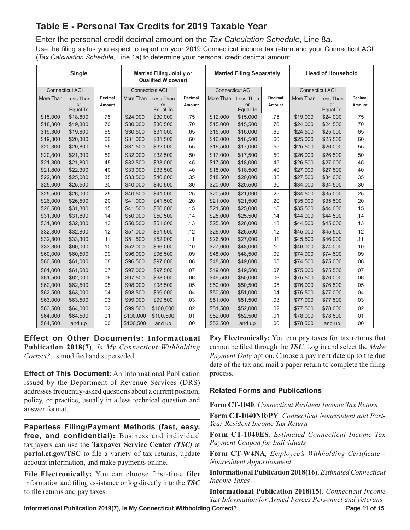# **Table E - Personal Tax Credits for 2019 Taxable Year**

Enter the personal credit decimal amount on the *Tax Calculation Schedule*, Line 8a.

Use the filing status you expect to report on your 2019 Connecticut income tax return and your Connecticut AGI (*Tax Calculation Schedule*, Line 1a) to determine your personal credit decimal amount.

|           | <b>Single</b>               |                   |           | <b>Married Filing Jointly or</b><br><b>Qualified Widow(er)</b>             |                          | <b>Married Filing Separately</b><br><b>Head of Household</b> |                             |                   |           |                             |                          |  |  |
|-----------|-----------------------------|-------------------|-----------|----------------------------------------------------------------------------|--------------------------|--------------------------------------------------------------|-----------------------------|-------------------|-----------|-----------------------------|--------------------------|--|--|
|           | <b>Connecticut AGI</b>      |                   |           | <b>Connecticut AGI</b><br><b>Connecticut AGI</b><br><b>Connecticut AGI</b> |                          |                                                              |                             |                   |           |                             |                          |  |  |
| More Than | Less Than<br>or<br>Equal To | Decimal<br>Amount | More Than | Less Than<br>or<br>Equal To                                                | <b>Decimal</b><br>Amount | More Than                                                    | Less Than<br>or<br>Equal To | Decimal<br>Amount | More Than | Less Than<br>or<br>Equal To | <b>Decimal</b><br>Amount |  |  |
| \$15,000  | \$18,800                    | .75               | \$24,000  | \$30,000                                                                   | .75                      | \$12,000                                                     | \$15,000                    | .75               | \$19,000  | \$24,000                    | .75                      |  |  |
| \$18,800  | \$19,300                    | .70               | \$30,000  | \$30,500                                                                   | .70                      | \$15,000                                                     | \$15,500                    | .70               | \$24,000  | \$24,500                    | .70                      |  |  |
| \$19,300  | \$19,800                    | .65               | \$30,500  | \$31,000                                                                   | .65                      | \$15,500                                                     | \$16,000                    | .65               | \$24,500  | \$25,000                    | .65                      |  |  |
| \$19,800  | \$20,300                    | .60               | \$31,000  | \$31,500                                                                   | .60                      | \$16,000                                                     | \$16,500                    | .60               | \$25,000  | \$25,500                    | .60                      |  |  |
| \$20,300  | \$20,800                    | .55               | \$31,500  | \$32,000                                                                   | .55                      | \$16,500                                                     | \$17,000                    | .55               | \$25,500  | \$26,000                    | .55                      |  |  |
| \$20,800  | \$21,300                    | .50               | \$32,000  | \$32,500                                                                   | .50                      | \$17,000                                                     | \$17,500                    | .50               | \$26,000  | \$26,500                    | .50                      |  |  |
| \$21,300  | \$21,800                    | .45               | \$32,500  | \$33,000                                                                   | .45                      | \$17,500                                                     | \$18,000                    | .45               | \$26,500  | \$27,000                    | .45                      |  |  |
| \$21,800  | \$22,300                    | .40               | \$33,000  | \$33,500                                                                   | .40                      | \$18,000                                                     | \$18,500                    | .40               | \$27,000  | \$27,500                    | .40                      |  |  |
| \$22,300  | \$25,000                    | .35               | \$33,500  | \$40,000                                                                   | .35                      | \$18,500                                                     | \$20,000                    | .35               | \$27,500  | \$34,000                    | .35                      |  |  |
| \$25,000  | \$25,500                    | .30               | \$40,000  | \$40,500                                                                   | .30                      | \$20,000                                                     | \$20,500                    | .30               | \$34,000  | \$34,500                    | .30                      |  |  |
| \$25,500  | \$26,000                    | .25               | \$40,500  | \$41,000                                                                   | .25                      | \$20,500                                                     | \$21,000                    | .25               | \$34,500  | \$35,000                    | .25                      |  |  |
| \$26,000  | \$26,500                    | .20               | \$41,000  | \$41,500                                                                   | .20                      | \$21,000                                                     | \$21,500                    | .20               | \$35,000  | \$35,500                    | .20                      |  |  |
| \$26,500  | \$31,300                    | .15               | \$41,500  | \$50,000                                                                   | .15                      | \$21,500                                                     | \$25,000                    | .15               | \$35,500  | \$44,000                    | .15                      |  |  |
| \$31,300  | \$31,800                    | .14               | \$50,000  | \$50,500                                                                   | .14                      | \$25,000                                                     | \$25,500                    | .14               | \$44,000  | \$44,500                    | .14                      |  |  |
| \$31,800  | \$32,300                    | .13               | \$50,500  | \$51,000                                                                   | .13                      | \$25,500                                                     | \$26,000                    | .13               | \$44,500  | \$45,000                    | .13                      |  |  |
| \$32,300  | \$32,800                    | .12               | \$51,000  | \$51,500                                                                   | .12                      | \$26,000                                                     | \$26,500                    | .12               | \$45,000  | \$45,500                    | .12                      |  |  |
| \$32,800  | \$33,300                    | .11               | \$51,500  | \$52,000                                                                   | .11                      | \$26,500                                                     | \$27,000                    | .11               | \$45,500  | \$46,000                    | .11                      |  |  |
| \$33,300  | \$60,000                    | .10               | \$52,000  | \$96,000                                                                   | .10                      | \$27,000                                                     | \$48,000                    | .10               | \$46,000  | \$74,000                    | .10                      |  |  |
| \$60,000  | \$60,500                    | .09               | \$96,000  | \$96,500                                                                   | .09                      | \$48,000                                                     | \$48,500                    | .09               | \$74,000  | \$74,500                    | .09                      |  |  |
| \$60,500  | \$61,000                    | .08               | \$96,500  | \$97,000                                                                   | .08                      | \$48,500                                                     | \$49,000                    | .08               | \$74,500  | \$75,000                    | .08                      |  |  |
| \$61,000  | \$61,500                    | .07               | \$97,000  | \$97,500                                                                   | .07                      | \$49,000                                                     | \$49,500                    | .07               | \$75,000  | \$75,500                    | .07                      |  |  |
| \$61,500  | \$62,000                    | .06               | \$97,500  | \$98,000                                                                   | .06                      | \$49,500                                                     | \$50,000                    | .06               | \$75,500  | \$76,000                    | .06                      |  |  |
| \$62,000  | \$62,500                    | .05               | \$98,000  | \$98,500                                                                   | .05                      | \$50,000                                                     | \$50,500                    | .05               | \$76,000  | \$76,500                    | .05                      |  |  |
| \$62,500  | \$63,000                    | .04               | \$98,500  | \$99,000                                                                   | .04                      | \$50,500                                                     | \$51,000                    | .04               | \$76,500  | \$77,000                    | .04                      |  |  |
| \$63,000  | \$63,500                    | .03               | \$99,000  | \$99,500                                                                   | .03                      | \$51,000                                                     | \$51,500                    | .03               | \$77,000  | \$77,500                    | .03                      |  |  |
| \$63,500  | \$64,000                    | .02               | \$99,500  | \$100,000                                                                  | .02                      | \$51,500                                                     | \$52,000                    | .02               | \$77,500  | \$78,000                    | .02                      |  |  |
| \$64,000  | \$64,500                    | .01               | \$100,000 | \$100,500                                                                  | .01                      | \$52,000                                                     | \$52,500                    | .01               | \$78,000  | \$78,500                    | .01                      |  |  |
| \$64,500  | and up                      | .00               | \$100,500 | and up                                                                     | .00                      | \$52,500                                                     | and up                      | .00               | \$78,500  | and up                      | .00                      |  |  |

**Effect on Other Documents: Informational Publication 2018(7)**, *Is My Connecticut Withholding Correct?*, is modified and superseded.

**Effect of This Document:** An Informational Publication issued by the Department of Revenue Services (DRS) addresses frequently-asked questions about a current position, policy, or practice, usually in a less technical question and answer format.

**Paperless Filing/Payment Methods (fast, easy, free, and confidential):** Business and individual taxpayers can use the **Taxpayer Service Center** *(TSC)* at **[portal.ct.gov/TSC](https://portal.ct.gov/TSC)** to file a variety of tax returns, update account information, and make payments online.

**File Electronically:** You can choose first-time filer information and filing assistance or log directly into the *TSC* to file returns and pay taxes.

**Pay Electronically:** You can pay taxes for tax returns that cannot be filed through the *TSC*. Log in and select the *Make Payment Only* option. Choose a payment date up to the due date of the tax and mail a paper return to complete the filing process.

#### **Related Forms and Publications**

**Form CT-1040***, Connecticut Resident Income Tax Return*

**Form CT-1040NR/PY***, Connecticut Nonresident and Part-Year Resident Income Tax Return*

**Form CT-1040ES***, Estimated Connecticut Income Tax Payment Coupon for Individuals*

**Form CT-W4NA***, Employee's Withholding Certificate - Nonresident Apportionment*

**Informational Publication 2018(16)**, *Estimated Connecticut Income Taxes*

**Informational Publication 2018(15)***, Connecticut Income Tax Information for Armed Forces Personnel and Veterans*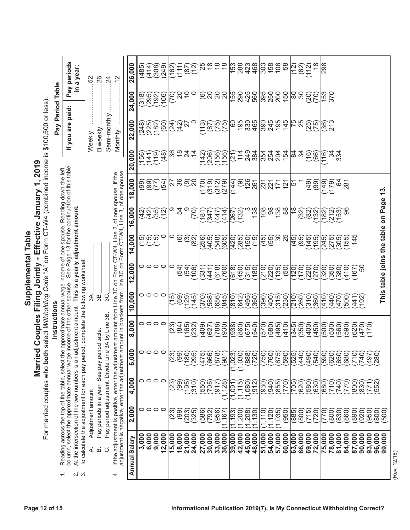# **Instructions**

|                  | Pay periods<br>in a year: |  |
|------------------|---------------------------|--|
| Pay Period Table | are paid:<br>If you       |  |
|                  |                           |  |

|                                                                                                                                                                                             | $\div$                                                                         | പ്പ് ന്                                                                                                                           | ₹                                                                                  | $\dot{\underline{\mathsf{m}}}$              | $\circ$<br>4                                                                                                                                                                                                                      | Annual Salary   |                 |                               |                           |                            |                                          |                                               |                 |                 |                                                                          |                 |                 |                                              |           |                   |                      |        |                                     |                    |                 |                                           |                |                                   |                                |              |                                                        | (Rev. 12/18) |
|---------------------------------------------------------------------------------------------------------------------------------------------------------------------------------------------|--------------------------------------------------------------------------------|-----------------------------------------------------------------------------------------------------------------------------------|------------------------------------------------------------------------------------|---------------------------------------------|-----------------------------------------------------------------------------------------------------------------------------------------------------------------------------------------------------------------------------------|-----------------|-----------------|-------------------------------|---------------------------|----------------------------|------------------------------------------|-----------------------------------------------|-----------------|-----------------|--------------------------------------------------------------------------|-----------------|-----------------|----------------------------------------------|-----------|-------------------|----------------------|--------|-------------------------------------|--------------------|-----------------|-------------------------------------------|----------------|-----------------------------------|--------------------------------|--------------|--------------------------------------------------------|--------------|
|                                                                                                                                                                                             |                                                                                |                                                                                                                                   |                                                                                    |                                             |                                                                                                                                                                                                                                   |                 | 3,000           | 6,000                         | 9,000<br>12,000           | 15,000                     | 18,000                                   | 21,000<br>24,000                              | 27,000          | 30,000          | 36,000<br>33,000                                                         | 39,000          | 42,000          | 45,000                                       | 48,000    | 54,000<br>51,000  | 57,000               | 60,000 | 66,000<br>63,000                    | 69,000             | 72,000          | 78,000<br>75,000                          | 81,000         | 84,000<br>87,000                  | 90,000                         | 93,000       | 96,000<br>99,000                                       |              |
|                                                                                                                                                                                             |                                                                                |                                                                                                                                   | Adjustment amount                                                                  |                                             |                                                                                                                                                                                                                                   | 2,000           |                 |                               | 0000                      | (23)                       | <u>်ခွ</u>                               | (203)<br>325                                  | (586)           | 792)            | (956)<br>(1, 167)                                                        | (1, 193)        | (1,200)         | (1,208)                                      | (1, 130)  | (011,<br>(1, 120) | (1,035)              | (950)  | $\left(800\right)$<br>(885)         | (715)              | (720)           | (300)<br>(012)                            | (830)          | (890)<br>(860)                    | (920)                          | 950          | $\left( \begin{matrix} 800 \ 500 \end{matrix} \right)$ |              |
|                                                                                                                                                                                             |                                                                                | column, select the approximate annual wag<br>At the intersection of the two numbers is an<br>Reading across the top of the table, |                                                                                    |                                             |                                                                                                                                                                                                                                   | 4,000           |                 |                               | 0000                      | (23)                       | (99)                                     | (35)<br>(310)                                 | (550)           | (705)           | (1, 128)<br>(917)                                                        | 1,091           | (1, 115)        | (1,080)                                      | (912)     | (940)<br>(930)    | (655)                | (770)  | (620)<br>(705)                      | (580)              | (630)           | (680)<br>(710)                            | (740)<br>(770) | (800)                             | (830)                          | 552<br>(771) |                                                        |              |
|                                                                                                                                                                                             |                                                                                |                                                                                                                                   |                                                                                    | Pay periods in a year: See pay period table |                                                                                                                                                                                                                                   | 8<br><b>G,O</b> |                 |                               | $\circ \circ \circ \circ$ | $\sim$                     | .ම                                       | $\overline{3}$<br>$\overline{29}$             | $\overline{47}$ | 66              | $\log$ ଚିତିଦ $\log$ ତିଡି $\widehat{\leftarrow}$<br>98<br>$\overline{87}$ |                 |                 | $(1,023)$<br>$(1,030)$<br>$(888)$<br>$(720)$ |           |                   |                      |        |                                     |                    |                 | 16<br>$\overline{59}$<br>$\widetilde{62}$ | `ခြ<br>මි      | `ခ<br>ခြ<br>ිම<br>$\overline{71}$ | ခြ<br>$\bar{\mathcal{F}}$      | Ő<br>98      |                                                        |              |
|                                                                                                                                                                                             |                                                                                |                                                                                                                                   |                                                                                    |                                             | Pay period adjustment: Divide Line 3A by Line 3B                                                                                                                                                                                  | 8,000           |                 |                               | 0000                      | (23)                       | $\overline{84}$                          | (165)<br>(232)                                | (409)           | 627             | (88)<br>(030)                                                            | (938)           | (860)           | (675)                                        | $(0 + 2)$ | 580)<br>(0.29)    | (495)                | (410)  | (350)<br>(345)                      | (004)              | (450)           | 530)<br>(005)                             | 560)<br>590)   | (620)                             | (470)                          | (01)         |                                                        |              |
|                                                                                                                                                                                             | Instructions                                                                   | e income of the other spouse.                                                                                                     | 3A.                                                                                | 3B.                                         | 3C.                                                                                                                                                                                                                               | 10,000          |                 |                               | 0000                      | $\overline{15}$            | (69)                                     | (129)<br>(145)                                | (0/3)           | 588)            | (686<br>845)                                                             | $\frac{810}{6}$ | 642)            | (495)                                        | 360)      | (00)<br>(390)     | (315)                | (230)  | (260)<br>(210)                      | (310)              | 360             | (440)<br>(410)                            | (470)<br>500   | (44)                              | 92<br>$\overline{\phantom{0}}$ |              |                                                        |              |
| For married couples who both select Withholding Code "A" on Form CT-W4 (combined income is \$100,500 or less)<br>Married Couples Filing Jointly - Effective January 1<br>Supplemental Table | select the approximate annual wage income of one spouse. Reading down the left | adjustment amount. This is a yearly adjustment amount.                                                                            | To calculate the adjustment for each pay period, complete the following worksheet. |                                             | If the adjustment is positive, enter the adjustment amount from Line 3C on Form CT-W4, Line 2, of one spouse. If the<br>adjustment is negative, enter the adjustment amount in brackets from Line 3C on Form CT-W4, Line 3, of on | 2,000           |                 |                               | 0000                      | 0                          | (54)                                     | (54)<br>106                                   | 331             | (44)            | (618)<br>760                                                             | (618)           | (054)           | (315)                                        | (081)     | 220)<br>(012)     | 135)                 | (50)   | (021)<br>(120)                      | (220)              | (012)           | 350)<br>320                               | 380)<br>(014)  | (167)                             | င္တ                            |              | This table joins the table on Page 13.                 |              |
|                                                                                                                                                                                             |                                                                                | See Page 13 for the continuation of this table                                                                                    |                                                                                    |                                             |                                                                                                                                                                                                                                   | 14,000          |                 | <b>GOO</b><br>CCC             | 0                         | 0                          | $\widehat{\circ}$                        | $\widetilde{\mathfrak{S}}$<br>$\overline{82}$ | (256)           | (405)           | (548)<br>605                                                             | (420)           | (285)           | (150)                                        | (15)      | $(35)$<br>$(65)$  | 80                   | 25     | (45)<br>$\overline{195}$            | (45)               | (195)           | (275)<br>(245)                            | (305)<br>(55)  | 145                               |                                |              |                                                        |              |
|                                                                                                                                                                                             |                                                                                |                                                                                                                                   |                                                                                    |                                             |                                                                                                                                                                                                                                   | 16,000          |                 |                               | 3350<br>2350<br>24        | ග                          | 54                                       | တ<br>(70)                                     | 181             | 347             | 414<br>447                                                               | 267             | 132)            |                                              | 138       | 108<br>88         | 138                  |        | $\frac{8}{10}$<br>(32)              | $\left( 82\right)$ | 132)            | 182<br>(212)                              | 96<br>(53)     |                                   |                                |              |                                                        |              |
|                                                                                                                                                                                             |                                                                                |                                                                                                                                   |                                                                                    |                                             |                                                                                                                                                                                                                                   | 18,000          | $\overline{99}$ | (66)                          | L a                       | 27                         | 36                                       | $\widehat{\Theta}$<br>$\widetilde{S}$         | (170)           | (319)           | (312)<br>(279)                                                           | (144)           | $\odot$         | 126                                          | 261       | 231               | 21<br>21<br>21<br>21 |        | ம்                                  | $\overline{9}$     | (99)            | (149)<br>(179)                            | 34<br>281      |                                   |                                |              |                                                        |              |
| 1,2019                                                                                                                                                                                      |                                                                                | ᆂ                                                                                                                                 |                                                                                    |                                             |                                                                                                                                                                                                                                   | 20,000          | (156)           | (141)                         | (119)<br>(48)             | 36                         | $\frac{8}{10}$                           | $\frac{5}{4}$                                 | (142)           | (206)           | (156)<br>(156)                                                           | <u>୍ମ</u>       | $\frac{114}{1}$ | 249                                          | 384       | 354<br>254        | 204                  | 154    | 34<br>84                            | $\widetilde{C}$    | $\overline{66}$ | ನೆ<br>$\frac{16}{16}$                     | 334            |                                   |                                |              |                                                        |              |
|                                                                                                                                                                                             | Pay                                                                            | you are paid                                                                                                                      | Weekly                                                                             | Biweekly                                    | Semi-monthly<br>Monthly                                                                                                                                                                                                           | 22,000          |                 | $(248)$<br>$(225)$<br>$(182)$ | (60)                      |                            | $\begin{pmatrix} 24 \\ 42 \end{pmatrix}$ | 0<br>$\overline{\mathcal{E}}$                 | (113)           | (87)            | $\begin{pmatrix} 75 \ 75 \end{pmatrix}$                                  | 8               | 195             | 330                                          | 465       |                   |                      |        | 75<br>25                            | (25)               | (75)            | (36)                                      |                |                                   |                                |              |                                                        |              |
|                                                                                                                                                                                             | Period Table                                                                   | $\equiv$<br>Pay                                                                                                                   |                                                                                    |                                             |                                                                                                                                                                                                                                   | 24,000          | (318)           | (295)                         | (192)<br>(106)            | $\vert \widetilde{\infty}$ | $\overline{20}$                          | $\overline{C}$<br>$\circ$                     | ම               | $\overline{20}$ | 80                                                                       | 155             | 290             | 425                                          | 560       | 395<br>250        | 200                  | 150    | 80<br>$\overline{30}$               | (20)               | (70)            | 153<br>370                                |                |                                   |                                |              |                                                        |              |
|                                                                                                                                                                                             |                                                                                | periods<br>a year:                                                                                                                | 52                                                                                 | .26                                         | $\overline{24}$<br>$\frac{2}{3}$                                                                                                                                                                                                  | 26,000          | (485)           | (414)                         | $(308)$<br>$(249)$        | 162                        | (11)                                     | $\sum_{i=1}^{\infty}$<br>(87)                 | 25              | $\frac{8}{10}$  | $\frac{8}{6}$                                                            | 153             | 288             | 423                                          | 468       | 303<br>158        | 108                  | 58     | $\sum_{i=1}^{n}$<br>$\overline{62}$ | (112)              |                 | 298                                       |                |                                   |                                |              |                                                        |              |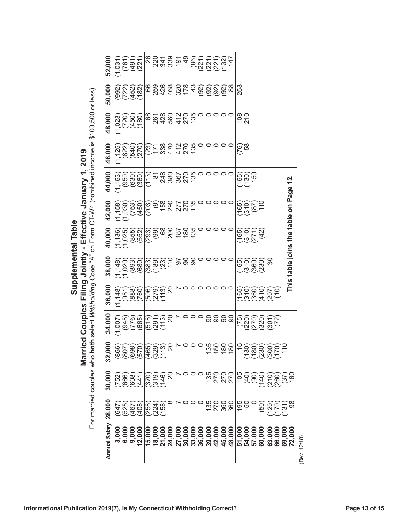| $\begin{minipage}{.4\linewidth} \begin{tabular}{lcccc} \multicolumn{2}{c}{\textbf{1}} & \multicolumn{2}{c}{\textbf{2}} & \multicolumn{2}{c}{\textbf{3}} & \multicolumn{2}{c}{\textbf{4}} & \multicolumn{2}{c}{\textbf{5}} & \multicolumn{2}{c}{\textbf{6}} & \multicolumn{2}{c}{\textbf{7}} & \multicolumn{2}{c}{\textbf{8}} & \multicolumn{2}{c}{\textbf{9}} & \multicolumn{2}{c}{\textbf{1}} & \multicolumn{2}{c}{\textbf{1}} & \multicolumn{2}{c}{\textbf{1}} & \multicolumn{2}{$ | Married Couples Filing Jointly - Effective January 1, 2019 |                                                                                                                |
|--------------------------------------------------------------------------------------------------------------------------------------------------------------------------------------------------------------------------------------------------------------------------------------------------------------------------------------------------------------------------------------------------------------------------------------------------------------------------------------|------------------------------------------------------------|----------------------------------------------------------------------------------------------------------------|
|                                                                                                                                                                                                                                                                                                                                                                                                                                                                                      |                                                            |                                                                                                                |
|                                                                                                                                                                                                                                                                                                                                                                                                                                                                                      |                                                            |                                                                                                                |
|                                                                                                                                                                                                                                                                                                                                                                                                                                                                                      |                                                            |                                                                                                                |
|                                                                                                                                                                                                                                                                                                                                                                                                                                                                                      |                                                            |                                                                                                                |
|                                                                                                                                                                                                                                                                                                                                                                                                                                                                                      |                                                            |                                                                                                                |
|                                                                                                                                                                                                                                                                                                                                                                                                                                                                                      |                                                            |                                                                                                                |
|                                                                                                                                                                                                                                                                                                                                                                                                                                                                                      |                                                            |                                                                                                                |
|                                                                                                                                                                                                                                                                                                                                                                                                                                                                                      |                                                            |                                                                                                                |
|                                                                                                                                                                                                                                                                                                                                                                                                                                                                                      |                                                            |                                                                                                                |
|                                                                                                                                                                                                                                                                                                                                                                                                                                                                                      |                                                            |                                                                                                                |
|                                                                                                                                                                                                                                                                                                                                                                                                                                                                                      |                                                            |                                                                                                                |
|                                                                                                                                                                                                                                                                                                                                                                                                                                                                                      |                                                            | ried couples who <b>both</b> select <i>Withholding Code</i> "A" on Form CT-W4 (combined income is \$100.500 or |
|                                                                                                                                                                                                                                                                                                                                                                                                                                                                                      |                                                            |                                                                                                                |
|                                                                                                                                                                                                                                                                                                                                                                                                                                                                                      |                                                            |                                                                                                                |
|                                                                                                                                                                                                                                                                                                                                                                                                                                                                                      |                                                            |                                                                                                                |
|                                                                                                                                                                                                                                                                                                                                                                                                                                                                                      |                                                            |                                                                                                                |

| COL CONT                  |
|---------------------------|
|                           |
|                           |
|                           |
|                           |
|                           |
|                           |
|                           |
|                           |
|                           |
|                           |
|                           |
|                           |
|                           |
|                           |
|                           |
|                           |
|                           |
|                           |
|                           |
|                           |
|                           |
|                           |
| $\frac{1}{2}$             |
|                           |
|                           |
|                           |
|                           |
|                           |
|                           |
|                           |
|                           |
|                           |
| $\overline{\phantom{a}}$  |
|                           |
|                           |
|                           |
|                           |
|                           |
|                           |
|                           |
|                           |
|                           |
|                           |
|                           |
| $\ddot{\phantom{0}}$<br>J |
|                           |
|                           |
|                           |
|                           |
|                           |
|                           |
|                           |
|                           |
|                           |
|                           |
|                           |
|                           |
|                           |
|                           |
|                           |
|                           |
|                           |
|                           |
|                           |
|                           |
|                           |
|                           |
|                           |
|                           |
|                           |
| りこういい                     |
|                           |
|                           |
|                           |
|                           |
|                           |
|                           |
| וטו מי מאוואפט כסווטו     |

| on Form CT-W4 (combined income is \$100,500 or less)     | 48,000<br>46,000     | $\begin{pmatrix} 20 \\ 450 \end{pmatrix}$<br>(180)<br>(1, 023)<br>$(1, 125)$<br>$(822)$<br>$(540)$<br>270 | 428<br>560<br>89<br>261<br>470<br>338<br>171<br>(23)                | 412        | $\sqrt{\frac{4000}{1000}}$<br>270<br>135<br>136 |                | $\circ\circ\circ\circ$<br>0000 |        | $\frac{8}{210}$<br>58<br>$\widetilde{C}$ |                                   |                    |                     |                            |              |  |
|----------------------------------------------------------|----------------------|-----------------------------------------------------------------------------------------------------------|---------------------------------------------------------------------|------------|-------------------------------------------------|----------------|--------------------------------|--------|------------------------------------------|-----------------------------------|--------------------|---------------------|----------------------------|--------------|--|
| rried Couples Filing Jointly - Effective January 1, 2019 | 44,000               | (630)<br>$(1, 163)$<br>$(950)$<br>(360)                                                                   | 248<br>380<br>$\overline{8}$<br>(113)                               | 367        | 270<br>$\circ$                                  |                | 0000                           |        | (165)<br>(130)                           | 150                               |                    |                     | <u>57</u><br>Page          |              |  |
|                                                          | 42,000               | (753)<br>(450)<br>$(1, 158)$<br>$(1, 030)$                                                                | 158<br>290<br>(203)<br>$\widehat{\mathcal{G}}$                      | 277<br>270 | 135                                             |                | 0000                           |        | (165)<br>(310)                           | $\frac{1}{10}$<br>$\overline{87}$ |                    |                     | S                          |              |  |
|                                                          | 40,000               | (1,136)<br>(1,025)<br>(1,055)<br>(1,052)                                                                  | 68<br>200<br>$(293)$<br>$(99)$                                      | 187        | $\frac{88}{130}$                                |                | 0000                           |        | (165)<br>(310)                           | (271)<br>$\overline{42}$          |                    |                     | This table joins the table |              |  |
| both select Withholding Code "A"                         | 38,000               | (680)<br>(893)<br>$(1,148)$<br>$(1,020)$                                                                  | $\frac{1}{10}$<br>(68)<br>(383)<br>(23)                             |            | 588<br>$\circ$                                  |                | 0000                           |        | $\overline{310}$<br>(65)                 | 360<br>$\overline{230}$           | 80                 |                     |                            |              |  |
| Supplemental Table                                       | 36,000               | $(1, 148)$<br>$(981)$<br>$(88)$<br>$(888)$<br>760)                                                        | 20<br>$\left(\begin{matrix} 279 \ 113 \end{matrix}\right)$<br>(906) |            | トロロロ                                            |                | 0000                           |        | 310<br>(65)                              | 360)<br>(410)                     | 207                | $\sum_{i=1}^{n}$    |                            |              |  |
|                                                          | 34,000               | (665)<br>(776)<br>(948)<br>(1,007)                                                                        | .<br>20<br>(518)<br>(291)<br>(113)                                  |            | 800 A                                           |                | នននន                           |        | (220)<br>(75)                            | (270)<br>(320)                    | 301                | (72)                |                            |              |  |
| le<br>Mai                                                | 000<br> ကွ           | $\begin{pmatrix} 866 \\ 807 \\ 698 \\ 690 \\ 600 \\ 0 \end{pmatrix}$                                      | 20<br>(465)<br>(329)<br>(113)                                       |            | <b>NO00</b>                                     | $135$<br>$180$ | 180                            | 180    | $\frac{5}{3}$<br>30)                     |                                   |                    | 110                 |                            |              |  |
|                                                          | 30,000               | (2009)<br>2009<br>2009)                                                                                   | 20<br> <br> 353<br> 303<br> 303                                     |            | <b>NOOO</b>                                     |                | <b>3222</b><br>2222            |        | 105<br>(40)                              | $\frac{56}{60}$                   | $(210)$<br>$(260)$ | (37)                | .<br>60                    |              |  |
| For married couples who                                  | 28,000               | (647)<br>(525)<br>(467)<br>(408)                                                                          | ∞<br>(258)<br>(224)<br>(158)                                        |            | $\circ \circ \circ$                             |                | 135<br>2700<br>1350            |        | $\frac{195}{50}$                         | $\circ$<br>(50)                   |                    | 000<br>1000<br>1000 | 88                         |              |  |
|                                                          | <b>Annual Salary</b> | 3,000<br>6,000<br>9,000<br>12,000                                                                         | 15,000<br>18,000<br>21,000<br>24,000                                | 27,000     | 33,000<br>36,000<br>30,000                      |                | 39,000<br>42,000<br>45,000     | 48,000 | 51,000<br>54,000                         | 57,000<br>60,000                  | 63,000             | 66,000<br>69,000    | 72,000                     | (Rev. 12/18) |  |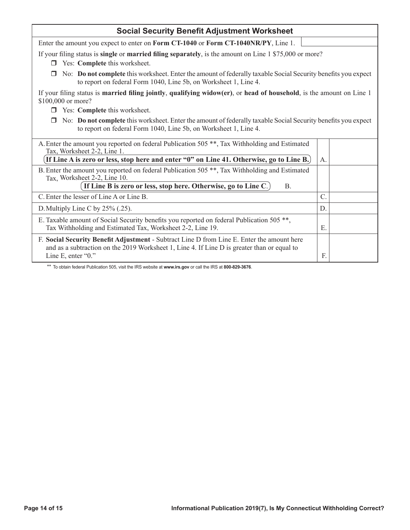| <b>Social Security Benefit Adjustment Worksheet</b>                                                                                                                                                             |                |  |  |  |  |  |  |  |  |
|-----------------------------------------------------------------------------------------------------------------------------------------------------------------------------------------------------------------|----------------|--|--|--|--|--|--|--|--|
| Enter the amount you expect to enter on Form CT-1040 or Form CT-1040NR/PY, Line 1.                                                                                                                              |                |  |  |  |  |  |  |  |  |
| If your filing status is <b>single</b> or <b>married filing separately</b> , is the amount on Line 1 \$75,000 or more?<br>Yes: Complete this worksheet.<br>П                                                    |                |  |  |  |  |  |  |  |  |
| No: Do not complete this worksheet. Enter the amount of federally taxable Social Security benefits you expect<br>to report on federal Form 1040, Line 5b, on Worksheet 1, Line 4.                               |                |  |  |  |  |  |  |  |  |
| If your filing status is <b>married filing jointly</b> , qualifying widow(er), or head of household, is the amount on Line 1<br>\$100,000 or more?                                                              |                |  |  |  |  |  |  |  |  |
| Yes: Complete this worksheet.                                                                                                                                                                                   |                |  |  |  |  |  |  |  |  |
| No: Do not complete this worksheet. Enter the amount of federally taxable Social Security benefits you expect<br>to report on federal Form 1040, Line 5b, on Worksheet 1, Line 4.                               |                |  |  |  |  |  |  |  |  |
| A. Enter the amount you reported on federal Publication 505 <sup>**</sup> , Tax Withholding and Estimated<br>Tax, Worksheet 2-2, Line 1.                                                                        |                |  |  |  |  |  |  |  |  |
| If Line A is zero or less, stop here and enter "0" on Line 41. Otherwise, go to Line B.)                                                                                                                        | A.             |  |  |  |  |  |  |  |  |
| B. Enter the amount you reported on federal Publication 505 <sup>**</sup> , Tax Withholding and Estimated<br>Tax, Worksheet 2-2, Line 10.                                                                       |                |  |  |  |  |  |  |  |  |
| If Line B is zero or less, stop here. Otherwise, go to Line C.)<br>B <sub>1</sub>                                                                                                                               |                |  |  |  |  |  |  |  |  |
| C. Enter the lesser of Line A or Line B.                                                                                                                                                                        | $\overline{C}$ |  |  |  |  |  |  |  |  |
| D. Multiply Line C by 25% (.25).                                                                                                                                                                                | D.             |  |  |  |  |  |  |  |  |
| E. Taxable amount of Social Security benefits you reported on federal Publication 505 **,<br>Tax Withholding and Estimated Tax, Worksheet 2-2, Line 19.                                                         | Е.             |  |  |  |  |  |  |  |  |
| F. Social Security Benefit Adjustment - Subtract Line D from Line E. Enter the amount here<br>and as a subtraction on the 2019 Worksheet 1, Line 4. If Line D is greater than or equal to<br>Line E, enter "0." | E              |  |  |  |  |  |  |  |  |

\*\* To obtain federal Publication 505, visit the IRS website at **[www.irs.gov](https://www.irs.gov)** or call the IRS at **800-829-3676**.